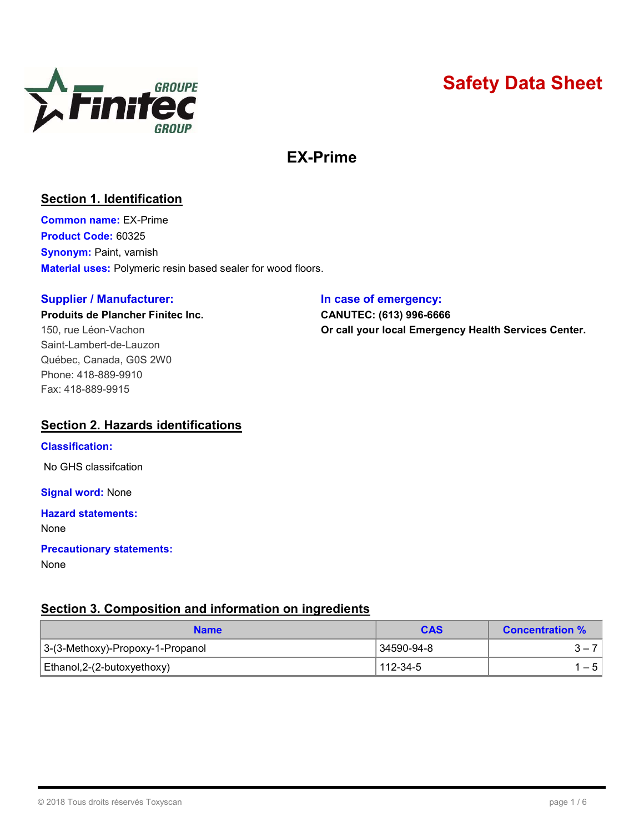

# Safety Data Sheet

## EX-Prime

#### Section 1. Identification

Common name: EX-Prime Product Code: 60325 Synonym: Paint, varnish Material uses: Polymeric resin based sealer for wood floors.

#### Supplier / Manufacturer: **In case of emergency:**

# Produits de Plancher Finitec Inc. CANUTEC: (613) 996-6666

Saint-Lambert-de-Lauzon Québec, Canada, G0S 2W0 Phone: 418-889-9910 Fax: 418-889-9915

150, rue Léon-Vachon **Call your local Emergency Health Services Center.** 

#### Section 2. Hazards identifications

#### Classification:

No GHS classifcation

**Signal word: None** 

#### Hazard statements:

None

### Precautionary statements:

None

#### Section 3. Composition and information on ingredients

| <b>Name</b>                      | <b>CAS</b> | <b>Concentration %</b> |  |
|----------------------------------|------------|------------------------|--|
| 3-(3-Methoxy)-Propoxy-1-Propanol | 34590-94-8 |                        |  |
| Ethanol, 2-(2-butoxyethoxy)      | 112-34-5   | – 5 I                  |  |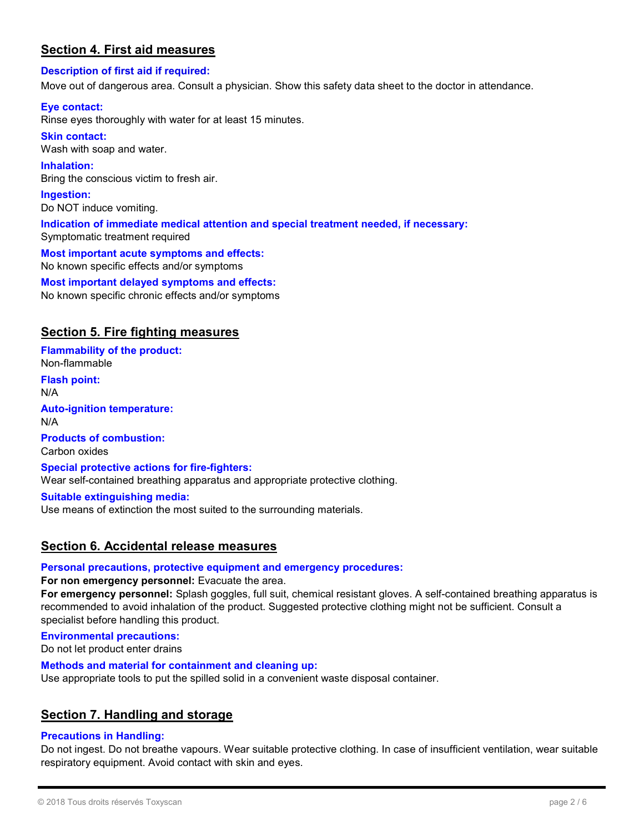#### Section 4. First aid measures

#### Description of first aid if required:

Move out of dangerous area. Consult a physician. Show this safety data sheet to the doctor in attendance.

#### Eye contact:

Rinse eyes thoroughly with water for at least 15 minutes.

Skin contact: Wash with soap and water.

Inhalation: Bring the conscious victim to fresh air.

Ingestion: Do NOT induce vomiting.

Indication of immediate medical attention and special treatment needed, if necessary: Symptomatic treatment required

Most important acute symptoms and effects: No known specific effects and/or symptoms

Most important delayed symptoms and effects: No known specific chronic effects and/or symptoms

#### Section 5. Fire fighting measures

Flammability of the product: Non-flammable

Flash point: N/A

Auto-ignition temperature: N/A

Products of combustion: Carbon oxides

Special protective actions for fire-fighters: Wear self-contained breathing apparatus and appropriate protective clothing.

Suitable extinguishing media:

Use means of extinction the most suited to the surrounding materials.

#### Section 6. Accidental release measures

#### Personal precautions, protective equipment and emergency procedures:

For non emergency personnel: Evacuate the area.

For emergency personnel: Splash goggles, full suit, chemical resistant gloves. A self-contained breathing apparatus is recommended to avoid inhalation of the product. Suggested protective clothing might not be sufficient. Consult a specialist before handling this product.

Environmental precautions:

Do not let product enter drains

Methods and material for containment and cleaning up:

Use appropriate tools to put the spilled solid in a convenient waste disposal container.

#### Section 7. Handling and storage

#### Precautions in Handling:

Do not ingest. Do not breathe vapours. Wear suitable protective clothing. In case of insufficient ventilation, wear suitable respiratory equipment. Avoid contact with skin and eyes.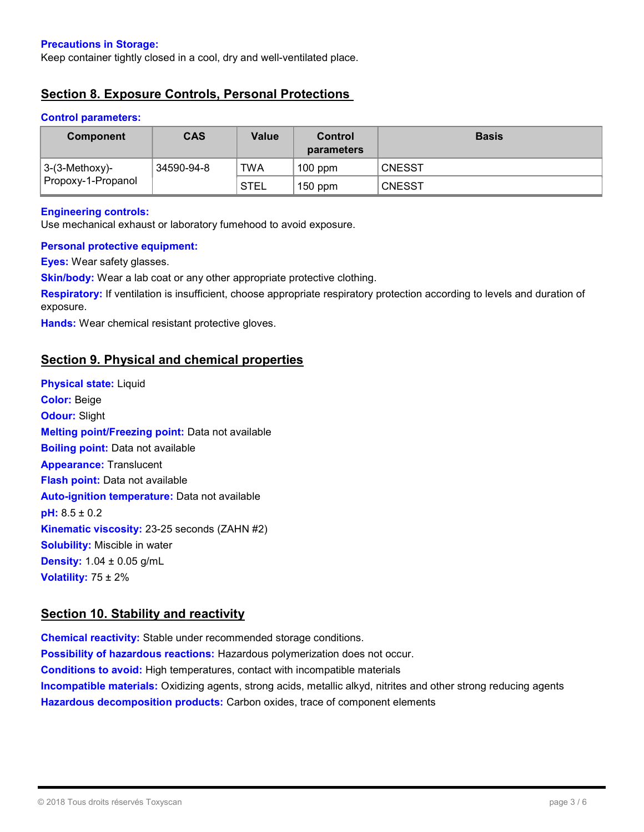#### Precautions in Storage:

Keep container tightly closed in a cool, dry and well-ventilated place.

#### Section 8. Exposure Controls, Personal Protections

#### Control parameters:

| <b>Component</b>                        | <b>CAS</b> | Value       | Control<br>parameters | <b>Basis</b>  |
|-----------------------------------------|------------|-------------|-----------------------|---------------|
| $ 3-(3-Methoxy)-$<br>Propoxy-1-Propanol | 34590-94-8 | <b>TWA</b>  | $100$ ppm             | <b>CNESST</b> |
|                                         |            | <b>STEL</b> | $150$ ppm             | <b>CNESST</b> |

#### Engineering controls:

Use mechanical exhaust or laboratory fumehood to avoid exposure.

#### Personal protective equipment:

Eyes: Wear safety glasses.

Skin/body: Wear a lab coat or any other appropriate protective clothing.

Respiratory: If ventilation is insufficient, choose appropriate respiratory protection according to levels and duration of exposure.

Hands: Wear chemical resistant protective gloves.

#### Section 9. Physical and chemical properties

**Physical state: Liquid** Color: Beige **Odour: Slight** Melting point/Freezing point: Data not available **Boiling point:** Data not available Appearance: Translucent **Flash point:** Data not available Auto-ignition temperature: Data not available pH: 8.5 ± 0.2 Kinematic viscosity: 23-25 seconds (ZAHN #2) **Solubility:** Miscible in water **Density:**  $1.04 \pm 0.05$  g/mL Volatility:  $75 \pm 2\%$ 

#### Section 10. Stability and reactivity

Chemical reactivity: Stable under recommended storage conditions. Possibility of hazardous reactions: Hazardous polymerization does not occur. Conditions to avoid: High temperatures, contact with incompatible materials **Incompatible materials:** Oxidizing agents, strong acids, metallic alkyd, nitrites and other strong reducing agents Hazardous decomposition products: Carbon oxides, trace of component elements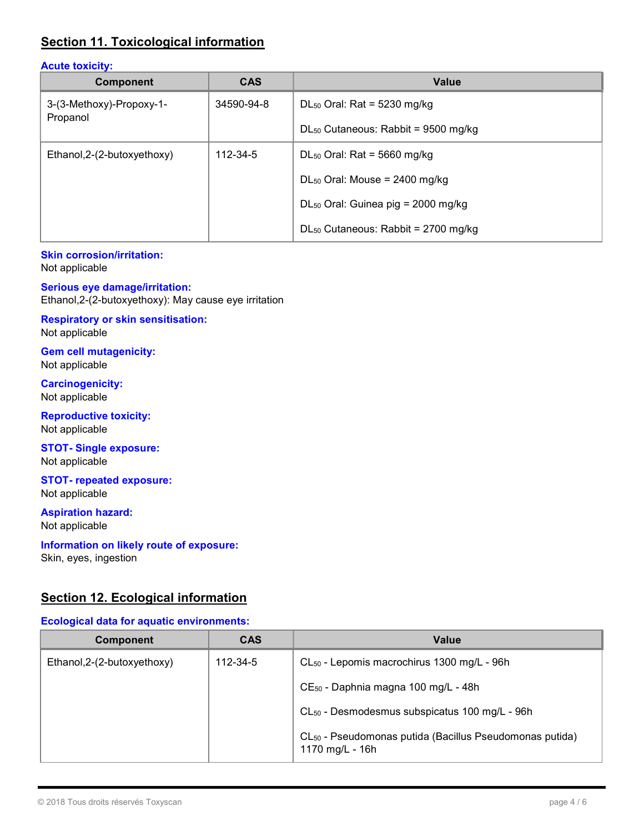#### Section 11. Toxicological information

#### Acute toxicity:

| <b>Component</b>                     | <b>CAS</b> | <b>Value</b>                                   |
|--------------------------------------|------------|------------------------------------------------|
| 3-(3-Methoxy)-Propoxy-1-<br>Propanol | 34590-94-8 | DL <sub>50</sub> Oral: Rat = $5230$ mg/kg      |
|                                      |            | $DL_{50}$ Cutaneous: Rabbit = 9500 mg/kg       |
| Ethanol, 2-(2-butoxyethoxy)          | 112-34-5   | DL <sub>50</sub> Oral: Rat = 5660 mg/kg        |
|                                      |            | $DL_{50}$ Oral: Mouse = 2400 mg/kg             |
|                                      |            | DL <sub>50</sub> Oral: Guinea pig = 2000 mg/kg |
|                                      |            | $DL_{50}$ Cutaneous: Rabbit = 2700 mg/kg       |

#### Skin corrosion/irritation:

Not applicable

#### Serious eye damage/irritation:

Ethanol,2-(2-butoxyethoxy): May cause eye irritation

#### Respiratory or skin sensitisation:

Not applicable

Gem cell mutagenicity: Not applicable

Carcinogenicity: Not applicable

Reproductive toxicity: Not applicable

#### STOT- Single exposure: Not applicable

STOT- repeated exposure: Not applicable

#### Aspiration hazard:

Not applicable

#### Information on likely route of exposure:

Skin, eyes, ingestion

#### Section 12. Ecological information

#### Ecological data for aquatic environments:

| Component                   | <b>CAS</b> | <b>Value</b>                                                                           |
|-----------------------------|------------|----------------------------------------------------------------------------------------|
| Ethanol, 2-(2-butoxyethoxy) | 112-34-5   | CL <sub>50</sub> - Lepomis macrochirus 1300 mg/L - 96h                                 |
|                             |            | CE <sub>50</sub> - Daphnia magna 100 mg/L - 48h                                        |
|                             |            | CL <sub>50</sub> - Desmodesmus subspicatus 100 mg/L - 96h                              |
|                             |            | CL <sub>50</sub> - Pseudomonas putida (Bacillus Pseudomonas putida)<br>1170 mg/L - 16h |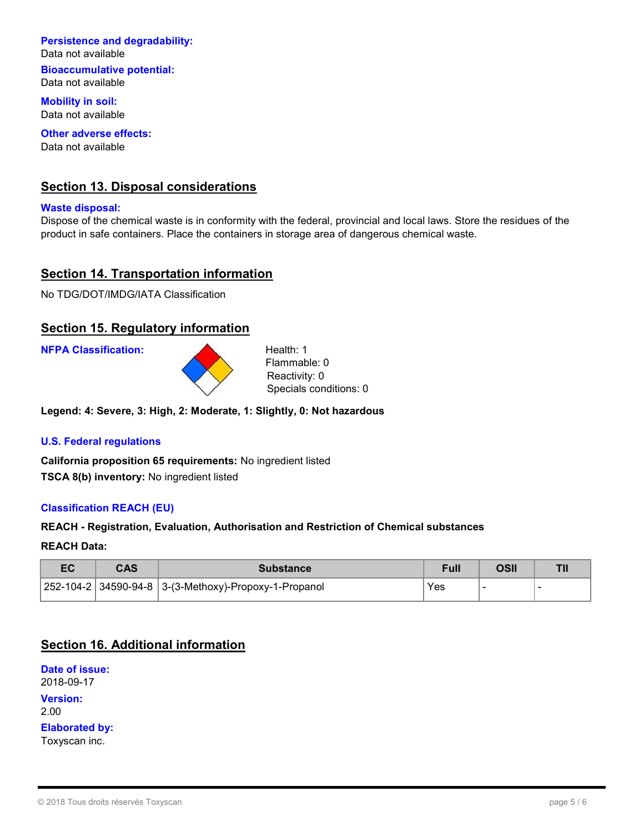#### Persistence and degradability:

Data not available

Bioaccumulative potential: Data not available

Mobility in soil: Data not available

Other adverse effects: Data not available

#### Section 13. Disposal considerations

Waste disposal:

Dispose of the chemical waste is in conformity with the federal, provincial and local laws. Store the residues of the product in safe containers. Place the containers in storage area of dangerous chemical waste.

#### **Section 14. Transportation information**

No TDG/DOT/IMDG/IATA Classification

#### Section 15. Regulatory information

NFPA Classification: Health: 1



Flammable: 0 Reactivity: 0 Specials conditions: 0

Legend: 4: Severe, 3: High, 2: Moderate, 1: Slightly, 0: Not hazardous

#### U.S. Federal regulations

California proposition 65 requirements: No ingredient listed TSCA 8(b) inventory: No ingredient listed

#### Classification REACH (EU)

#### REACH - Registration, Evaluation, Authorisation and Restriction of Chemical substances

#### REACH Data:

| cu | CAS | <b>Substance</b>                                           |     | <b>DSI</b> |  |
|----|-----|------------------------------------------------------------|-----|------------|--|
|    |     | 252-104-2   34590-94-8    3-(3-Methoxy)-Propoxy-1-Propanol | Yes |            |  |

#### Section 16. Additional information

Date of issue: 2018-09-17 Version: 2.00 Elaborated by: Toxyscan inc.